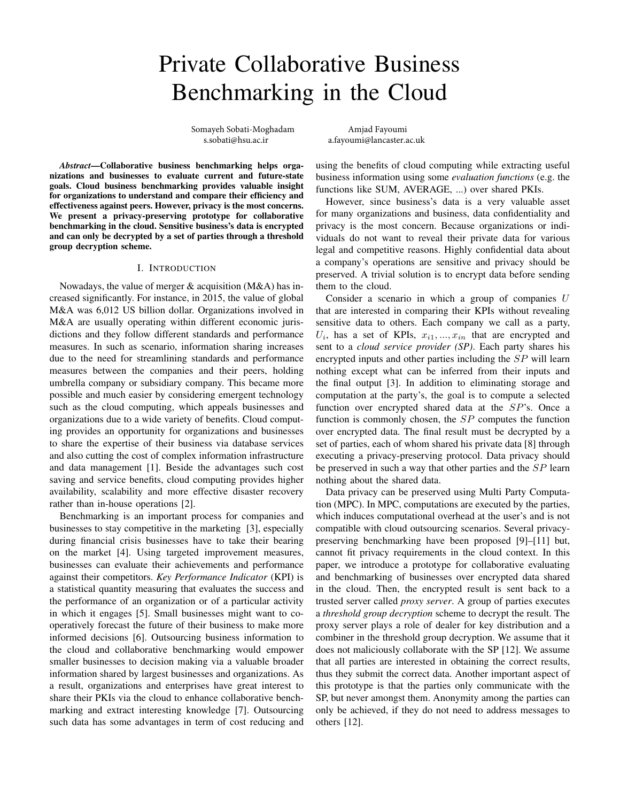# Private Collaborative Business Benchmarking in the Cloud

Somayeh Sobati-Moghadam Amjad Fayoumi<br>s.sobati@hsu.ac.ir a.fayoumi@lancaster.a

a.fayoumi@lancaster.ac.uk

*Abstract*—Collaborative business benchmarking helps organizations and businesses to evaluate current and future-state goals. Cloud business benchmarking provides valuable insight for organizations to understand and compare their efficiency and effectiveness against peers. However, privacy is the most concerns. We present a privacy-preserving prototype for collaborative benchmarking in the cloud. Sensitive business's data is encrypted and can only be decrypted by a set of parties through a threshold group decryption scheme.

## I. INTRODUCTION

Nowadays, the value of merger & acquisition (M&A) has increased significantly. For instance, in 2015, the value of global M&A was 6,012 US billion dollar. Organizations involved in M&A are usually operating within different economic jurisdictions and they follow different standards and performance measures. In such as scenario, information sharing increases due to the need for streamlining standards and performance measures between the companies and their peers, holding umbrella company or subsidiary company. This became more possible and much easier by considering emergent technology such as the cloud computing, which appeals businesses and organizations due to a wide variety of benefits. Cloud computing provides an opportunity for organizations and businesses to share the expertise of their business via database services and also cutting the cost of complex information infrastructure and data management [1]. Beside the advantages such cost saving and service benefits, cloud computing provides higher availability, scalability and more effective disaster recovery rather than in-house operations [2].

Benchmarking is an important process for companies and businesses to stay competitive in the marketing [3], especially during financial crisis businesses have to take their bearing on the market [4]. Using targeted improvement measures, businesses can evaluate their achievements and performance against their competitors. *Key Performance Indicator* (KPI) is a statistical quantity measuring that evaluates the success and the performance of an organization or of a particular activity in which it engages [5]. Small businesses might want to cooperatively forecast the future of their business to make more informed decisions [6]. Outsourcing business information to the cloud and collaborative benchmarking would empower smaller businesses to decision making via a valuable broader information shared by largest businesses and organizations. As a result, organizations and enterprises have great interest to share their PKIs via the cloud to enhance collaborative benchmarking and extract interesting knowledge [7]. Outsourcing such data has some advantages in term of cost reducing and using the benefits of cloud computing while extracting useful business information using some *evaluation functions* (e.g. the functions like SUM, AVERAGE, ...) over shared PKIs.

However, since business's data is a very valuable asset for many organizations and business, data confidentiality and privacy is the most concern. Because organizations or individuals do not want to reveal their private data for various legal and competitive reasons. Highly confidential data about a company's operations are sensitive and privacy should be preserved. A trivial solution is to encrypt data before sending them to the cloud.

Consider a scenario in which a group of companies  $U$ that are interested in comparing their KPIs without revealing sensitive data to others. Each company we call as a party,  $U_i$ , has a set of KPIs,  $x_{i1},...,x_{in}$  that are encrypted and sent to a *cloud service provider (SP)*. Each party shares his encrypted inputs and other parties including the SP will learn nothing except what can be inferred from their inputs and the final output [3]. In addition to eliminating storage and computation at the party's, the goal is to compute a selected function over encrypted shared data at the SP's. Once a function is commonly chosen, the  $SP$  computes the function over encrypted data. The final result must be decrypted by a set of parties, each of whom shared his private data [8] through executing a privacy-preserving protocol. Data privacy should be preserved in such a way that other parties and the SP learn nothing about the shared data.

Data privacy can be preserved using Multi Party Computation (MPC). In MPC, computations are executed by the parties, which induces computational overhead at the user's and is not compatible with cloud outsourcing scenarios. Several privacypreserving benchmarking have been proposed [9]–[11] but, cannot fit privacy requirements in the cloud context. In this paper, we introduce a prototype for collaborative evaluating and benchmarking of businesses over encrypted data shared in the cloud. Then, the encrypted result is sent back to a trusted server called *proxy server*. A group of parties executes a *threshold group decryption* scheme to decrypt the result. The proxy server plays a role of dealer for key distribution and a combiner in the threshold group decryption. We assume that it does not maliciously collaborate with the SP [12]. We assume that all parties are interested in obtaining the correct results, thus they submit the correct data. Another important aspect of this prototype is that the parties only communicate with the SP, but never amongst them. Anonymity among the parties can only be achieved, if they do not need to address messages to others [12].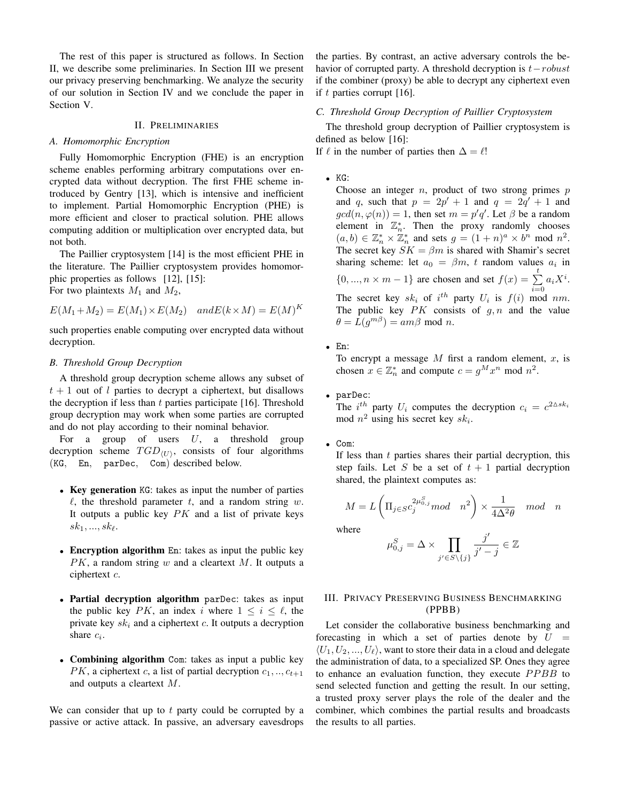The rest of this paper is structured as follows. In Section II, we describe some preliminaries. In Section III we present our privacy preserving benchmarking. We analyze the security of our solution in Section IV and we conclude the paper in Section V.

#### II. PRELIMINARIES

#### *A. Homomorphic Encryption*

Fully Homomorphic Encryption (FHE) is an encryption scheme enables performing arbitrary computations over encrypted data without decryption. The first FHE scheme introduced by Gentry [13], which is intensive and inefficient to implement. Partial Homomorphic Encryption (PHE) is more efficient and closer to practical solution. PHE allows computing addition or multiplication over encrypted data, but not both.

The Paillier cryptosystem [14] is the most efficient PHE in the literature. The Paillier cryptosystem provides homomorphic properties as follows [12], [15]: For two plaintexts  $M_1$  and  $M_2$ ,

$$
E(M_1 + M_2) = E(M_1) \times E(M_2) \quad and E(k \times M) = E(M)^K
$$

such properties enable computing over encrypted data without decryption.

#### *B. Threshold Group Decryption*

A threshold group decryption scheme allows any subset of  $t + 1$  out of l parties to decrypt a ciphertext, but disallows the decryption if less than  $t$  parties participate [16]. Threshold group decryption may work when some parties are corrupted and do not play according to their nominal behavior.

For a group of users  $U$ , a threshold group decryption scheme  $TGD_{\langle U \rangle}$ , consists of four algorithms (KG, En, parDec, Com) described below.

- Key generation KG: takes as input the number of parties  $\ell$ , the threshold parameter t, and a random string w. It outputs a public key  $PK$  and a list of private keys  $sk_1, ..., sk_{\ell}$ .
- Encryption algorithm En: takes as input the public key  $PK$ , a random string w and a cleartext M. It outputs a ciphertext c.
- Partial decryption algorithm parDec: takes as input the public key PK, an index i where  $1 \le i \le \ell$ , the private key  $sk_i$  and a ciphertext  $c$ . It outputs a decryption share  $c_i$ .
- Combining algorithm Com: takes as input a public key  $PK$ , a ciphertext c, a list of partial decryption  $c_1, ..., c_{t+1}$ and outputs a cleartext M.

We can consider that up to  $t$  party could be corrupted by a passive or active attack. In passive, an adversary eavesdrops

the parties. By contrast, an active adversary controls the behavior of corrupted party. A threshold decryption is  $t - robust$ if the combiner (proxy) be able to decrypt any ciphertext even if t parties corrupt  $[16]$ .

## *C. Threshold Group Decryption of Paillier Cryptosystem*

The threshold group decryption of Paillier cryptosystem is defined as below [16]:

If  $\ell$  in the number of parties then  $\Delta = \ell!$ 

• KG:

Choose an integer  $n$ , product of two strong primes  $p$ and q, such that  $p = 2p' + 1$  and  $q = 2q' + 1$  and  $gcd(n, \varphi(n)) = 1$ , then set  $m = p'q'$ . Let  $\beta$  be a random element in  $\mathbb{Z}_n^*$ . Then the proxy randomly chooses  $(a, b) \in \mathbb{Z}_n^* \times \mathbb{Z}_n^*$  and sets  $g = (1+n)^a \times b^n \mod n^2$ . The secret key  $SK = \beta m$  is shared with Shamir's secret sharing scheme: let  $a_0 = \beta m$ , t random values  $a_i$  in  $\{0, ..., n \times m - 1\}$  are chosen and set  $f(x) = \sum_{i=0}^{t} a_i X^i$ . The secret key  $sk_i$  of  $i^{th}$  party  $U_i$  is  $f(i)$  mod nm. The public key  $PK$  consists of  $g, n$  and the value  $\theta = L(g^{m\beta}) = am\beta \text{ mod } n.$ 

• En:

To encrypt a message  $M$  first a random element,  $x$ , is chosen  $x \in \mathbb{Z}_n^*$  and compute  $c = g^M x^n \mod n^2$ .

• parDec:

The *i*<sup>th</sup> party  $U_i$  computes the decryption  $c_i = c^{2\Delta s k_i}$ mod  $n^2$  using his secret key  $sk_i$ .

• Com:

If less than  $t$  parties shares their partial decryption, this step fails. Let S be a set of  $t + 1$  partial decryption shared, the plaintext computes as:

$$
M = L\left(\Pi_{j \in S} c_j^{2\mu_{0,j}^S} mod \quad n^2\right) \times \frac{1}{4\Delta^2 \theta} \mod \ n
$$

where

$$
\mu_{0,j}^S = \Delta \times \prod_{j' \in S \setminus \{j\}} \frac{j'}{j'-j} \in \mathbb{Z}
$$

# III. PRIVACY PRESERVING BUSINESS BENCHMARKING (PPBB)

Let consider the collaborative business benchmarking and forecasting in which a set of parties denote by  $U =$  $\langle U_1, U_2, ..., U_\ell \rangle$ , want to store their data in a cloud and delegate the administration of data, to a specialized SP. Ones they agree to enhance an evaluation function, they execute PPBB to send selected function and getting the result. In our setting, a trusted proxy server plays the role of the dealer and the combiner, which combines the partial results and broadcasts the results to all parties.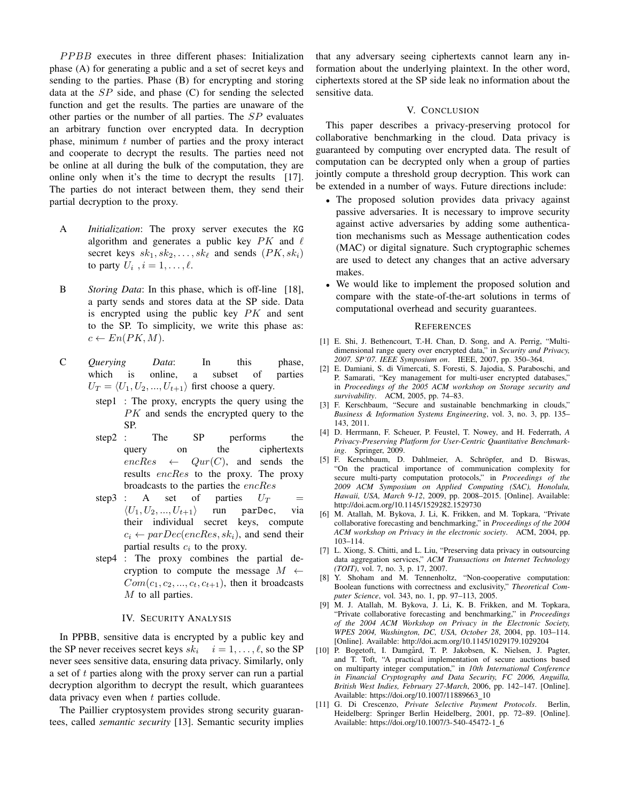PPBB executes in three different phases: Initialization phase (A) for generating a public and a set of secret keys and sending to the parties. Phase (B) for encrypting and storing data at the  $SP$  side, and phase  $(C)$  for sending the selected function and get the results. The parties are unaware of the other parties or the number of all parties. The SP evaluates an arbitrary function over encrypted data. In decryption phase, minimum  $t$  number of parties and the proxy interact and cooperate to decrypt the results. The parties need not be online at all during the bulk of the computation, they are online only when it's the time to decrypt the results [17]. The parties do not interact between them, they send their partial decryption to the proxy.

- A *Initialization*: The proxy server executes the KG algorithm and generates a public key  $PK$  and  $\ell$ secret keys  $sk_1, sk_2, \ldots, sk_\ell$  and sends  $(PK, sk_i)$ to party  $U_i$ ,  $i = 1, \ldots, \ell$ .
- B *Storing Data*: In this phase, which is off-line [18], a party sends and stores data at the SP side. Data is encrypted using the public key  $PK$  and sent to the SP. To simplicity, we write this phase as:  $c \leftarrow En(PK, M).$
- C *Querying Data*: In this phase, which is online, a subset of parties  $U_T = \langle U_1, U_2, ..., U_{t+1} \rangle$  first choose a query.
	- step1 : The proxy, encrypts the query using the PK and sends the encrypted query to the SP.
	- step2 : The SP performs the query on the ciphertexts  $encRes \leftarrow Qur(C)$ , and sends the results encRes to the proxy. The proxy broadcasts to the parties the encRes
	- step3 : A set of parties  $U_T$  =  $\langle U_1, U_2, ..., U_{t+1} \rangle$  run parDec, via their individual secret keys, compute  $c_i \leftarrow parDec(encRes, sk_i)$ , and send their partial results  $c_i$  to the proxy.
	- step4 : The proxy combines the partial decryption to compute the message  $M \leftarrow$  $Com(c_1, c_2, ..., c_t, c_{t+1})$ , then it broadcasts M to all parties.

#### IV. SECURITY ANALYSIS

In PPBB, sensitive data is encrypted by a public key and the SP never receives secret keys  $sk_i$   $i = 1, \ldots, \ell$ , so the SP never sees sensitive data, ensuring data privacy. Similarly, only a set of t parties along with the proxy server can run a partial decryption algorithm to decrypt the result, which guarantees data privacy even when  $t$  parties collude.

The Paillier cryptosystem provides strong security guarantees, called *semantic security* [13]. Semantic security implies that any adversary seeing ciphertexts cannot learn any information about the underlying plaintext. In the other word, ciphertexts stored at the SP side leak no information about the sensitive data.

# V. CONCLUSION

This paper describes a privacy-preserving protocol for collaborative benchmarking in the cloud. Data privacy is guaranteed by computing over encrypted data. The result of computation can be decrypted only when a group of parties jointly compute a threshold group decryption. This work can be extended in a number of ways. Future directions include:

- The proposed solution provides data privacy against passive adversaries. It is necessary to improve security against active adversaries by adding some authentication mechanisms such as Message authentication codes (MAC) or digital signature. Such cryptographic schemes are used to detect any changes that an active adversary makes.
- We would like to implement the proposed solution and compare with the state-of-the-art solutions in terms of computational overhead and security guarantees.

#### **REFERENCES**

- [1] E. Shi, J. Bethencourt, T.-H. Chan, D. Song, and A. Perrig, "Multidimensional range query over encrypted data," in *Security and Privacy, 2007. SP'07. IEEE Symposium on*. IEEE, 2007, pp. 350–364.
- [2] E. Damiani, S. di Vimercati, S. Foresti, S. Jajodia, S. Paraboschi, and P. Samarati, "Key management for multi-user encrypted databases," in *Proceedings of the 2005 ACM workshop on Storage security and survivability*. ACM, 2005, pp. 74–83.
- [3] F. Kerschbaum, "Secure and sustainable benchmarking in clouds," *Business & Information Systems Engineering*, vol. 3, no. 3, pp. 135– 143, 2011.
- [4] D. Herrmann, F. Scheuer, P. Feustel, T. Nowey, and H. Federrath, *A Privacy-Preserving Platform for User-Centric Quantitative Benchmarking*. Springer, 2009.
- [5] F. Kerschbaum, D. Dahlmeier, A. Schröpfer, and D. Biswas, "On the practical importance of communication complexity for secure multi-party computation protocols," in *Proceedings of the 2009 ACM Symposium on Applied Computing (SAC), Honolulu, Hawaii, USA, March 9-12*, 2009, pp. 2008–2015. [Online]. Available: http://doi.acm.org/10.1145/1529282.1529730
- [6] M. Atallah, M. Bykova, J. Li, K. Frikken, and M. Topkara, "Private collaborative forecasting and benchmarking," in *Proceedings of the 2004 ACM workshop on Privacy in the electronic society*. ACM, 2004, pp. 103–114.
- [7] L. Xiong, S. Chitti, and L. Liu, "Preserving data privacy in outsourcing data aggregation services," *ACM Transactions on Internet Technology (TOIT)*, vol. 7, no. 3, p. 17, 2007.
- [8] Y. Shoham and M. Tennenholtz, "Non-cooperative computation: Boolean functions with correctness and exclusivity," *Theoretical Computer Science*, vol. 343, no. 1, pp. 97–113, 2005.
- [9] M. J. Atallah, M. Bykova, J. Li, K. B. Frikken, and M. Topkara, "Private collaborative forecasting and benchmarking," in *Proceedings of the 2004 ACM Workshop on Privacy in the Electronic Society, WPES 2004, Washington, DC, USA, October 28*, 2004, pp. 103–114. [Online]. Available: http://doi.acm.org/10.1145/1029179.1029204
- [10] P. Bogetoft, I. Damgård, T. P. Jakobsen, K. Nielsen, J. Pagter, and T. Toft, "A practical implementation of secure auctions based on multiparty integer computation," in *10th International Conference in Financial Cryptography and Data Security, FC 2006, Anguilla, British West Indies, February 27-March*, 2006, pp. 142–147. [Online]. Available: https://doi.org/10.1007/11889663\_10
- [11] G. Di Crescenzo, *Private Selective Payment Protocols*. Berlin, Heidelberg: Springer Berlin Heidelberg, 2001, pp. 72–89. [Online]. Available: https://doi.org/10.1007/3-540-45472-1 6